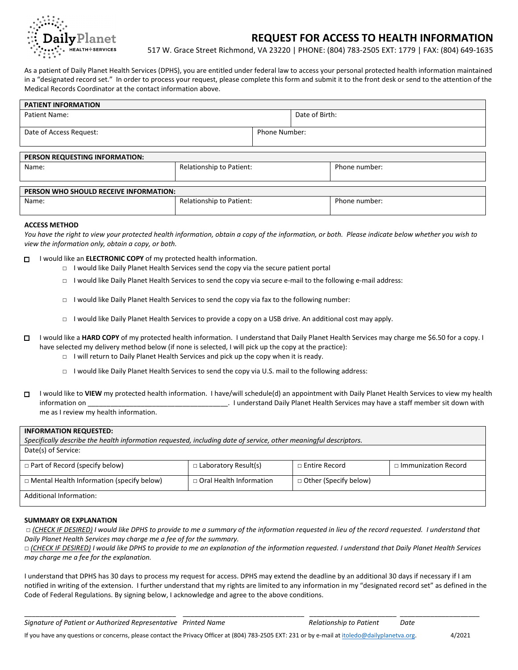

# **REQUEST FOR ACCESS TO HEALTH INFORMATION**

517 W. Grace Street Richmond, VA 23220 | PHONE: (804) 783-2505 EXT: 1779 | FAX: (804) 649-1635

As a patient of Daily Planet Health Services (DPHS), you are entitled under federal law to access your personal protected health information maintained in a "designated record set." In order to process your request, please complete this form and submit it to the front desk or send to the attention of the Medical Records Coordinator at the contact information above.

| <b>PATIENT INFORMATION</b>             |                          |                      |                |               |
|----------------------------------------|--------------------------|----------------------|----------------|---------------|
| Patient Name:                          |                          |                      | Date of Birth: |               |
| Date of Access Request:                |                          | <b>Phone Number:</b> |                |               |
|                                        |                          |                      |                |               |
| PERSON REQUESTING INFORMATION:         |                          |                      |                |               |
| Name:                                  | Relationship to Patient: |                      |                | Phone number: |
|                                        |                          |                      |                |               |
| PERSON WHO SHOULD RECEIVE INFORMATION: |                          |                      |                |               |
| Name:                                  | Relationship to Patient: |                      |                | Phone number: |

#### **ACCESS METHOD**

*You have the right to view your protected health information, obtain a copy of the information, or both. Please indicate below whether you wish to view the information only, obtain a copy, or both.* 

- □ I would like an **ELECTRONIC COPY** of my protected health information.
	- $\Box$  I would like Daily Planet Health Services send the copy via the secure patient portal
	- □ I would like Daily Planet Health Services to send the copy via secure e-mail to the following e-mail address:
	- $\Box$  I would like Daily Planet Health Services to send the copy via fax to the following number:
	- □ I would like Daily Planet Health Services to provide a copy on a USB drive. An additional cost may apply.
- □ I would like a **HARD COPY** of my protected health information. I understand that Daily Planet Health Services may charge me \$6.50 for a copy. I have selected my delivery method below (if none is selected, I will pick up the copy at the practice):
	- □ I will return to Daily Planet Health Services and pick up the copy when it is ready.
	- □ I would like Daily Planet Health Services to send the copy via U.S. mail to the following address:
- □ I would like to **VIEW** my protected health information. I have/will schedule(d) an appointment with Daily Planet Health Services to view my health information on **the contract of the service of the service** of the services may have a staff member sit down with me as I review my health information.

#### **INFORMATION REQUESTED:**

*Specifically describe the health information requested, including date of service, other meaningful descriptors.* Date(s) of Service: *□* Part of Record (specify below) *□* Laboratory Result(s) *□* Entire Record □ Immunization Record

| $\Box$                                           | $\Xi$ capping to $\eta$ in $\Xi$ and $\eta$ |                              | __ _______________________ |
|--------------------------------------------------|---------------------------------------------|------------------------------|----------------------------|
| $\Box$ Mental Health Information (specify below) | $\Box$ Oral Health Information              | $\Box$ Other (Specify below) |                            |
| Additional Information:                          |                                             |                              |                            |

### **SUMMARY OR EXPLANATION**

*□ (CHECK IF DESIRED) I would like DPHS to provide to me a summary of the information requested in lieu of the record requested. I understand that Daily Planet Health Services may charge me a fee of for the summary.*

*□ (CHECK IF DESIRED) I would like DPHS to provide to me an explanation of the information requested. I understand that Daily Planet Health Services may charge me a fee for the explanation.*

I understand that DPHS has 30 days to process my request for access. DPHS may extend the deadline by an additional 30 days if necessary if I am notified in writing of the extension. I further understand that my rights are limited to any information in my "designated record set" as defined in the Code of Federal Regulations. By signing below, I acknowledge and agree to the above conditions.

\_\_\_\_\_\_\_\_\_\_\_\_\_\_\_\_\_\_\_\_\_\_\_\_\_\_\_\_\_\_\_\_\_\_\_\_\_\_\_\_ \_\_\_\_\_\_\_\_\_\_\_\_\_\_\_\_\_\_\_\_\_\_\_\_\_\_\_\_\_\_\_\_ \_\_\_\_\_\_\_\_\_\_\_\_\_\_\_\_\_\_\_\_\_\_\_ \_\_\_\_\_\_\_\_\_\_\_\_\_\_\_\_\_\_\_\_\_ *Signature of Patient or Authorized Representative Printed Name Relationship to Patient Date*